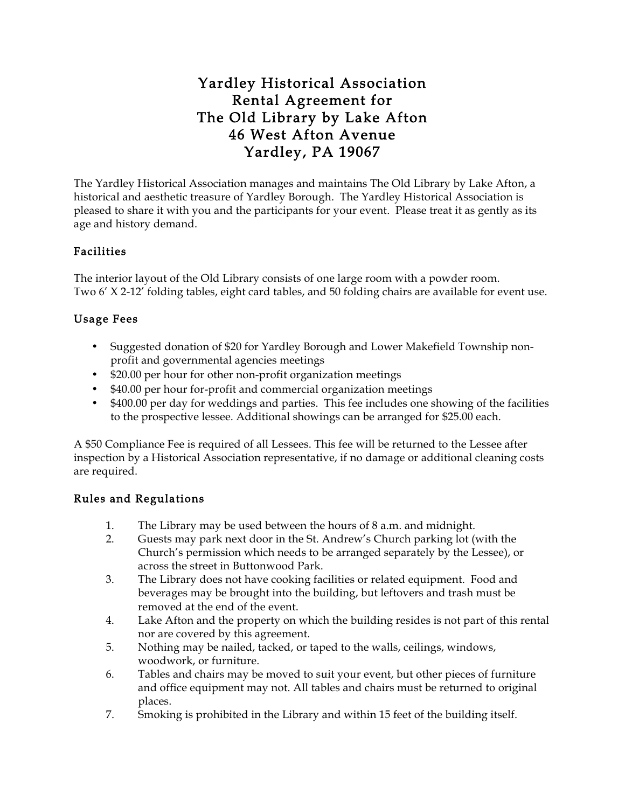# Yardley Historical Association Rental Agreement for The Old Library by Lake Afton 46 West Afton Avenue Yardley, PA 19067

The Yardley Historical Association manages and maintains The Old Library by Lake Afton, a historical and aesthetic treasure of Yardley Borough. The Yardley Historical Association is pleased to share it with you and the participants for your event. Please treat it as gently as its age and history demand.

# Facilities

The interior layout of the Old Library consists of one large room with a powder room. Two 6' X 2-12' folding tables, eight card tables, and 50 folding chairs are available for event use.

# Usage Fees

- Suggested donation of \$20 for Yardley Borough and Lower Makefield Township nonprofit and governmental agencies meetings
- \$20.00 per hour for other non-profit organization meetings
- \$40.00 per hour for-profit and commercial organization meetings
- \$400.00 per day for weddings and parties. This fee includes one showing of the facilities to the prospective lessee. Additional showings can be arranged for \$25.00 each.

A \$50 Compliance Fee is required of all Lessees. This fee will be returned to the Lessee after inspection by a Historical Association representative, if no damage or additional cleaning costs are required.

# Rules and Regulations

- 1. The Library may be used between the hours of 8 a.m. and midnight.
- 2. Guests may park next door in the St. Andrew's Church parking lot (with the Church's permission which needs to be arranged separately by the Lessee), or across the street in Buttonwood Park.
- 3. The Library does not have cooking facilities or related equipment. Food and beverages may be brought into the building, but leftovers and trash must be removed at the end of the event.
- 4. Lake Afton and the property on which the building resides is not part of this rental nor are covered by this agreement.
- 5. Nothing may be nailed, tacked, or taped to the walls, ceilings, windows, woodwork, or furniture.
- 6. Tables and chairs may be moved to suit your event, but other pieces of furniture and office equipment may not. All tables and chairs must be returned to original places.
- 7. Smoking is prohibited in the Library and within 15 feet of the building itself.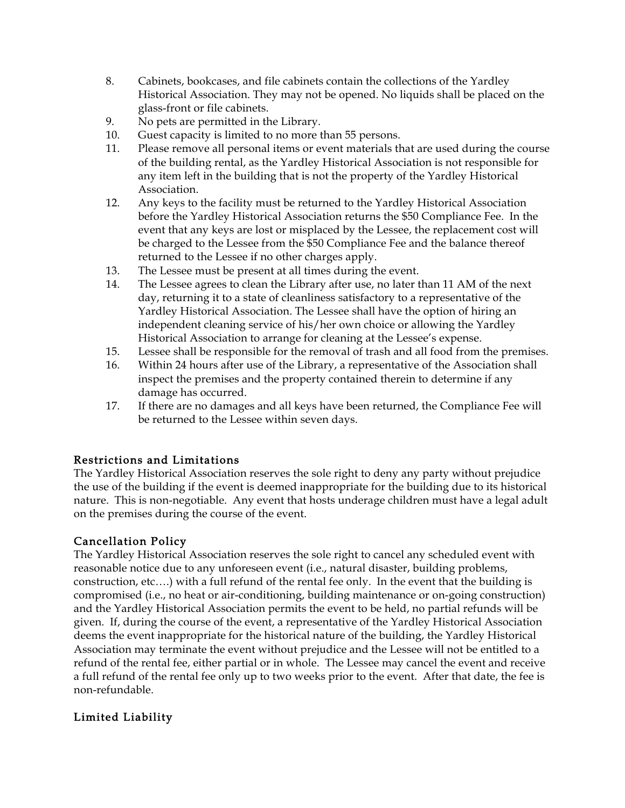- 8. Cabinets, bookcases, and file cabinets contain the collections of the Yardley Historical Association. They may not be opened. No liquids shall be placed on the glass-front or file cabinets.
- 9. No pets are permitted in the Library.
- 10. Guest capacity is limited to no more than 55 persons.
- 11. Please remove all personal items or event materials that are used during the course of the building rental, as the Yardley Historical Association is not responsible for any item left in the building that is not the property of the Yardley Historical Association.
- 12. Any keys to the facility must be returned to the Yardley Historical Association before the Yardley Historical Association returns the \$50 Compliance Fee. In the event that any keys are lost or misplaced by the Lessee, the replacement cost will be charged to the Lessee from the \$50 Compliance Fee and the balance thereof returned to the Lessee if no other charges apply.
- 13. The Lessee must be present at all times during the event.
- 14. The Lessee agrees to clean the Library after use, no later than 11 AM of the next day, returning it to a state of cleanliness satisfactory to a representative of the Yardley Historical Association. The Lessee shall have the option of hiring an independent cleaning service of his/her own choice or allowing the Yardley Historical Association to arrange for cleaning at the Lessee's expense.
- 15. Lessee shall be responsible for the removal of trash and all food from the premises.
- 16. Within 24 hours after use of the Library, a representative of the Association shall inspect the premises and the property contained therein to determine if any damage has occurred.
- 17. If there are no damages and all keys have been returned, the Compliance Fee will be returned to the Lessee within seven days.

### Restrictions and Limitations

The Yardley Historical Association reserves the sole right to deny any party without prejudice the use of the building if the event is deemed inappropriate for the building due to its historical nature. This is non-negotiable. Any event that hosts underage children must have a legal adult on the premises during the course of the event.

#### Cancellation Policy

The Yardley Historical Association reserves the sole right to cancel any scheduled event with reasonable notice due to any unforeseen event (i.e., natural disaster, building problems, construction, etc….) with a full refund of the rental fee only. In the event that the building is compromised (i.e., no heat or air-conditioning, building maintenance or on-going construction) and the Yardley Historical Association permits the event to be held, no partial refunds will be given. If, during the course of the event, a representative of the Yardley Historical Association deems the event inappropriate for the historical nature of the building, the Yardley Historical Association may terminate the event without prejudice and the Lessee will not be entitled to a refund of the rental fee, either partial or in whole. The Lessee may cancel the event and receive a full refund of the rental fee only up to two weeks prior to the event. After that date, the fee is non-refundable.

### Limited Liability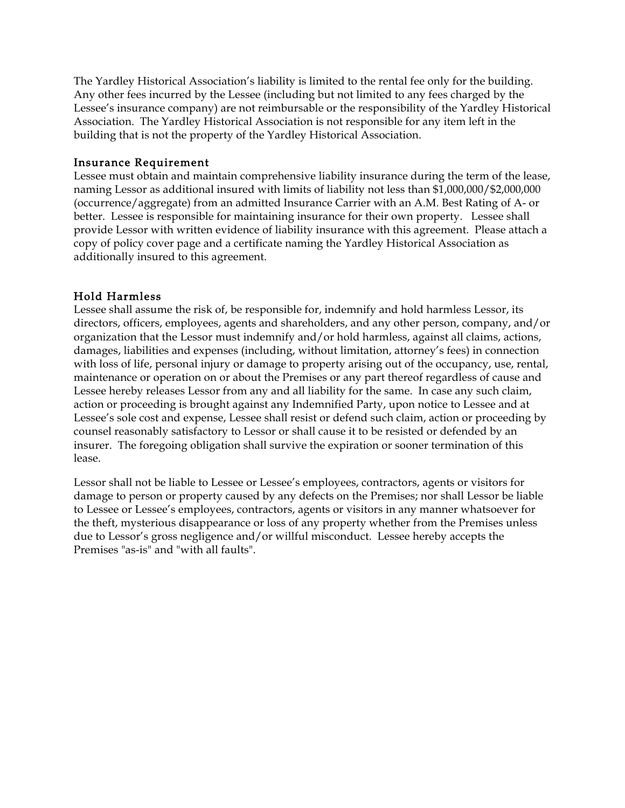The Yardley Historical Association's liability is limited to the rental fee only for the building. Any other fees incurred by the Lessee (including but not limited to any fees charged by the Lessee's insurance company) are not reimbursable or the responsibility of the Yardley Historical Association. The Yardley Historical Association is not responsible for any item left in the building that is not the property of the Yardley Historical Association.

#### Insurance Requirement

Lessee must obtain and maintain comprehensive liability insurance during the term of the lease, naming Lessor as additional insured with limits of liability not less than \$1,000,000/\$2,000,000 (occurrence/aggregate) from an admitted Insurance Carrier with an A.M. Best Rating of A- or better. Lessee is responsible for maintaining insurance for their own property. Lessee shall provide Lessor with written evidence of liability insurance with this agreement. Please attach a copy of policy cover page and a certificate naming the Yardley Historical Association as additionally insured to this agreement.

### Hold Harmless

Lessee shall assume the risk of, be responsible for, indemnify and hold harmless Lessor, its directors, officers, employees, agents and shareholders, and any other person, company, and/or organization that the Lessor must indemnify and/or hold harmless, against all claims, actions, damages, liabilities and expenses (including, without limitation, attorney's fees) in connection with loss of life, personal injury or damage to property arising out of the occupancy, use, rental, maintenance or operation on or about the Premises or any part thereof regardless of cause and Lessee hereby releases Lessor from any and all liability for the same. In case any such claim, action or proceeding is brought against any Indemnified Party, upon notice to Lessee and at Lessee's sole cost and expense, Lessee shall resist or defend such claim, action or proceeding by counsel reasonably satisfactory to Lessor or shall cause it to be resisted or defended by an insurer. The foregoing obligation shall survive the expiration or sooner termination of this lease.

Lessor shall not be liable to Lessee or Lessee's employees, contractors, agents or visitors for damage to person or property caused by any defects on the Premises; nor shall Lessor be liable to Lessee or Lessee's employees, contractors, agents or visitors in any manner whatsoever for the theft, mysterious disappearance or loss of any property whether from the Premises unless due to Lessor's gross negligence and/or willful misconduct. Lessee hereby accepts the Premises "as-is" and "with all faults".